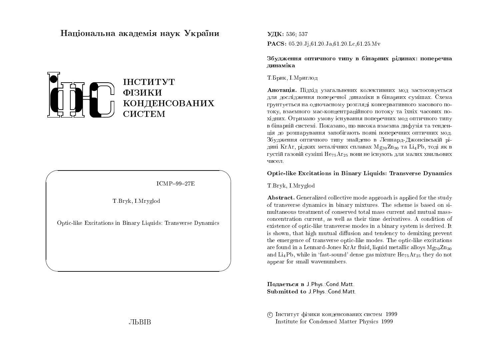# Національна академія наук України



 $ICMP-99-27E$ 

T. Bryk, I. Mryglod

Optic-like Excitations in Binary Liquids: Transverse Dynamics

УДК: 536 537 PACS: 05.20.Ji.61.20.Ja.61.20.Lc.61.25.Mv

Збудження оптичного типу в бінарних рідинах: поперечна линаміка

## Т. Брик, І. Мриглод

Анотація. Підхід узагальнених колективних мод застосовується для дослідження поперечної динаміки в бінарних сумішах. Схема грунтується на одночасному розгляді консервативного масового потоку, взаємного мас-концентраційного потоку та їхніх часових похідних. Отримано умову існування поперечних мод оптичного типу в бінарній системі. Показано, що висока взаємна дифузія та тенденція до розшарування запобігають появі поперечних оптичних мод. Збудження оптичного типу знайдено в Леннард-Джонсівській рідині KrAr, рідких металічних сплавах Mg<sub>70</sub>Zn<sub>30</sub> та Li<sub>4</sub>Pb, тоді як в густій газовій суміші  $He_{75}Ar_{25}$  вони не існують для малих хвильових чисел.

#### **Optic-like Excitations in Binary Liquids: Transverse Dynamics**

## T.Bryk, I.Mryglod

Abstract. Generalized collective mode approach is applied for the study of transverse dynamics in binary mixtures. The scheme is based on simultaneous treatment of conserved total mass current and mutual massconcentration current, as well as their time derivatives. A condition of existence of optic-like transverse modes in a binary system is derived. It is shown, that high mutual diffusion and tendency to demixing prevent the emergence of transverse optic-like modes. The optic-like excitations are found in a Lennard-Jones KrAr fluid, liquid metallic alloys  $Mg_{70}Zn_{30}$ and Li<sub>4</sub>Pb, while in 'fast-sound' dense gas mixture  $He_{75}Ar_{25}$  they do not appear for small wavenumbers.

Подається в J Phys Cond Matt. Submitted to J Phys Cond Matt.

С Інститут фізики конденсованих систем 1999 Institute for Condensed Matter Physics 1999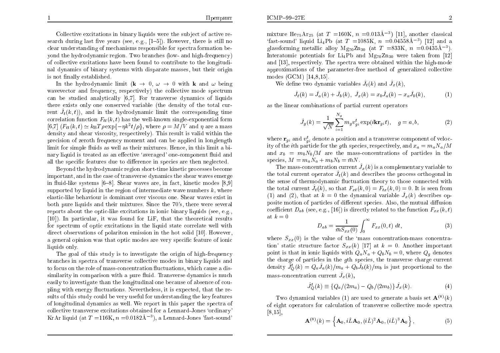Collective excitations in binary liquids were the subject of active research during last five years (see, e.g.,  $[1-5]$ ). However, there is still no clear understanding of mechanisms responsible for spectra formation beyond the hydrodynamic region. Two branches (low- and high-frequency) of collective excitations have been found to contribute to the longitudinal dynamics of binary systems with disparate masses, but their origin is not finally established.

In the hydrodynamic limit  $(\mathbf{k} \to 0, \omega \to 0$  with **k** and  $\omega$  being wavevector and frequency, respectively) the collective mode spectrum can be studied analytically [6,7]. For transverse dynamics of liquids there exists only one conserved variable (the density of the total current  $\hat{J}_t(k,t)$ , and in the hydrodynamic limit the corresponding time correlation function  $F_{tt}(k, t)$  has the well-known single-exponential form [6,7]  $(F_{tt}(k,t) \simeq k_B T \rho \exp{-\eta k^2 t/\rho}$ , where  $\rho = M/V$  and  $\eta$  are a mass density and shear viscosity, respectively). This result is valid within the precision of zeroth frequency moment and can be applied in longlength limit for simple fluids as well as their mixtures. Hence, in this limit a binary liquid is treated as an effective 'averaged' one-component fluid and all the specific features due to difference in species are then neglected.

Beyond the hydrodynamic region short-time kinetic processes become important, and in the case of transverse dynamics the shear waves emerge in fluid-like systems [6–8]. Shear waves are, in fact, kinetic modes [8,9] supported by liquid in the region of intermediate wave numbers  $k$ , where elastic-like behaviour is dominant over viscous one. Shear waves exist in both pure liquids and their mixtures. Since the 70's, there were several reports about the optic-like excitations in ionic binary liquids (see, e.g., [10]). In particular, it was found for LiF, that the theoretical results for spectrum of optic excitations in the liquid state correlate well with direct observations of polariton emission in the hot solid [10]. However, a general opinion was that optic modes are very specific feature of ionic liquids only.

The goal of this study is to investigate the origin of high-frequency branches in spectra of transverse collective modes in binary liquids and to focus on the role of mass-concentration fluctuations, which cause a dissimilarity in comparison with a pure fluid. Transverse dynamics is much easily to investigate than the longitudinal one because of absence of coupling with energy fluctuations. Nevertheless, it is expected, that the results of this study could be very useful for understanding the key features of longitudinal dynamics as well. We report in this paper the spectra of collective transverse excitations obtained for a Lennard-Jones 'ordinary' KrAr liquid (at  $T = 116$ K,  $n = 0.0182$ Å<sup>-3</sup>), a Lennard-Jones 'fast-sound'

mixture He<sub>75</sub>Ar<sub>25</sub> (at T = 160K,  $n = 0.013\text{\AA}^{-3}$ ) [11], another classical 'fast-sound' liquid Li<sub>4</sub>Pb (at  $T = 1085K$ ,  $n = 0.04558\text{\AA}^{-3}$ ) [12] and a glassforming metallic alloy  $Mg_{70}Zn_{30}$  (at  $T = 833K$ ,  $n = 0.0435\text{\AA}^{-3}$ ). Interatomic potentials for Li<sub>4</sub>Pb and  $Mg_{70}Zn_{30}$  were taken from [12] and [13], respectively. The spectra were obtained within the high-mode approximations of the parameter-free method of generalized collective modes  $(GCM)$  [14,8,15].

We define two dynamic variables  $\hat{J}_t(k)$  and  $\hat{J}_x(k)$ ,

$$
\hat{J}_t(k) = \hat{J}_a(k) + \hat{J}_b(k), \ \hat{J}_x(k) = x_b \hat{J}_a(k) - x_a \hat{J}_b(k), \tag{1}
$$

as the linear combinations of partial current operators

$$
\hat{J}_g(k) = \frac{1}{\sqrt{N}} \sum_{i=1}^{N_g} m_g v_{gi}^t \exp(i \mathbf{k} \mathbf{r}_{gi} t), \quad g = a, b,
$$
 (2)

where  $\mathbf{r}_{ai}$  and  $v_{ai}^t$  denote a position and a transverse component of velocity of the *i*th particle for the *g*th species, respectively, and  $x_a = m_a N_a / M$ and  $x_b = m_b N_b / M$  are the mass-concentrations of particles in the species,  $M = m_a N_a + m_b N_b = \bar{m} N$ .

The mass-concentration current  $\hat{J}_r(k)$  is a complementary variable to the total current operator  $\hat{J}_t(k)$  and describes the process orthogonal in the sense of thermodynamic fluctuation theory to those connected with the total current  $\hat{J}_t(k)$ , so that  $F_{xt}(k,0) = F_{tx}(k,0) = 0$ . It is seen from (1) and (2), that at  $k = 0$  the dynamical variable  $\hat{J}_x(k)$  describes opposite motion of particles of different species. Also, the mutual diffusion coefficient  $D_{ab}$  (see, e.g., [16]) is directly related to the function  $F_{xx}(k,t)$ at  $k=0$ 

$$
D_{ab} = \frac{1}{\bar{m} S_{xx}(0)} \int_0^\infty F_{xx}(0, t) \, dt,\tag{3}
$$

where  $S_{xx}(0)$  is the value of the 'mass concentration-mass concentration' static structure factor  $S_{xx}(k)$  [17] at  $k = 0$ . Another important point is that in ionic liquids with  $Q_a N_a + Q_b N_b = 0$ , where  $Q_a$  denotes the charge of particles in the gth species, the transverse charge current density  $\hat{J}_{\Omega}^{t}(k) = Q_a \hat{J}_a(k)/m_a + Q_b \hat{J}_b(k)/m_b$  is just proportional to the mass-concentration current  $\hat{J}_x(k)$ ,

$$
\hat{J}_Q^t(k) \equiv \{Q_a/(2m_a) - Q_b/(2m_b)\}\,\hat{J}_x(k). \tag{4}
$$

Two dynamical variables (1) are used to generate a basis set  $\mathbf{A}^{(8)}(k)$ of eight operators for calculation of transverse collective mode spectra  $[8,15]$ 

$$
\mathbf{A}^{(8)}(k) = \left\{ \mathbf{A}_0, i\hat{L}\mathbf{A}_0, (i\hat{L})^2 \mathbf{A}_0, (i\hat{L})^3 \mathbf{A}_0 \right\},\tag{5}
$$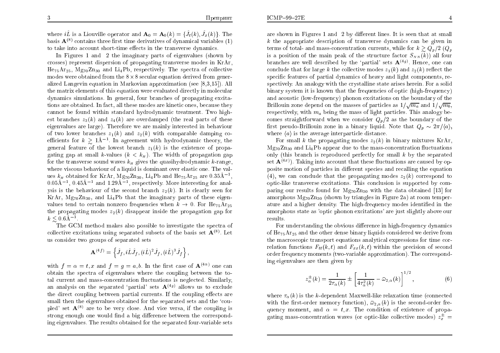where  $i\hat{L}$  is a Liouville operator and  $\mathbf{A}_0 = \mathbf{A}_0(k) = \{\hat{J}_t(k), \hat{J}_x(k)\}\$ . The basis  $\mathbf{A}^{(8)}$  contains three first time derivatives of dynamical variables (1) to take into account short-time effects in the transverse dynamics.

In Figures 1 and 2 the imaginary parts of eigenvalues (shown by crosses) represent dispersion of propagating transverse modes in KrAr,  $He_{75}Ar_{25}$ ,  $Mg_{70}Zn_{30}$  and  $Li_4Pb$ , respectively. The spectra of collective modes were obtained from the  $8 \times 8$  secular equation derived from generalized Langevin equation in Markovian approximation (see  $[8,3,15]$ ). All the matrix elements of this equation were evaluated directly in molecular dynamics simulations. In general, four branches of propagating excitations are obtained. In fact, all these modes are kinetic ones, because they cannot be found within standard hydrodynamic treatment. Two highest branches  $z_3(k)$  and  $z_4(k)$  are overdamped (the real parts of these eigenvalues are large). Therefore we are mainly interested in behaviour of two lower branches  $z_1(k)$  and  $z_2(k)$  with comparable damping coefficients for  $k \geq 1\text{\AA}^{-1}$ . In agreement with hydrodynamic theory, the general feature of the lowest branch  $z_1(k)$  is the existence of propagating gap at small k-values  $(k < k<sub>H</sub>)$ . The width of propagation gap for the transverse sound waves  $k_{\mu}$  gives the quasihydrodynamic k-range, where viscous behaviour of a liquid is dominant over elastic one. The values  $k_H$  obtained for KrAr, Mg<sub>70</sub>Z<sub>n<sub>30</sub>, Li<sub>4</sub>P<sub>b</sub> and He<sub>75</sub>Ar<sub>25</sub> are 0.35Å<sup>-1</sup>.</sub>  $0.05\text{\AA}^{-1}$ ,  $0.45\text{\AA}^{-1}$  and  $1.29\text{\AA}^{-1}$ , respectively. More interesting for analysis is the behaviour of the second branch  $z_2(k)$ . It is clearly seen for KrAr,  $Mg_{70}Zn_{30}$ , and Li<sub>4</sub>Pb that the imaginary parts of these eigenvalues tend to certain nonzero frequencies when  $k \rightarrow 0$ . For He<sub>75</sub>Ar<sub>25</sub> the propagating modes  $z_2(k)$  disappear inside the propagation gap for  $k \leq 0.6$ A<sup>-1</sup>.

The GCM method makes also possible to investigate the spectra of collective excitations using separated subsets of the basis set  $A^{(8)}$ . Let us consider two groups of separated sets

$$
\mathbf{A}^{(4f)} = \left\{ \hat{J}_f, i\hat{L}\hat{J}_f, (i\hat{L})^2\hat{J}_f, (i\hat{L})^3\hat{J}_f \right\},\
$$

with  $f = \alpha = t$ , x and  $f = q = a$ , b. In the first case of  $\mathbf{A}^{(4\alpha)}$  one can obtain the spectra of eigenvalues where the coupling between the total current and mass-concentration fluctuations is neglected. Similarly, an analysis on the separated 'partial' sets  $\mathbf{A}^{(4g)}$  allows us to exclude the direct coupling between partial currents. If the coupling effects are small then the eigenvalues obtained for the separated sets and the 'coupled' set  $A^{(8)}$  are to be very close. And vice versa, if the coupling is strong enough one would find a big difference between the corresponding eigenvalues. The results obtained for the separated four-variable sets

are shown in Figures 1 and 2 by different lines. It is seen that at small  $k$  the appropriate description of transverse dynamics can be given in terms of total- and mass-concentration currents, while for  $k \geq Q_n/2$  ( $Q_n$ ) is a position of the main peak of the structure factor  $S_{NN}(k)$  all four branches are well described by the 'partial' sets  $\mathbf{A}^{(4g)}$ . Hence, one can conclude that for large k the collective modes  $z_1(k)$  and  $z_2(k)$  reflect the specific features of partial dynamics of heavy and light components, respectively. An analogy with the crystalline state arises herein. For a solid binary system it is known that the frequencies of optic (high-frequency) and acoustic (low-frequency) phonon excitations on the boundary of the Brillouin zone depend on the masses of particles as  $1/\sqrt{m_a}$  and  $1/\sqrt{m_b}$ . respectively, with  $m_a$  being the mass of light particles. This analogy becomes straightforward when we consider  $Q_p/2$  as the boundary of the first pseudo-Brillouin zone in a binary liquid. Note that  $Q_p \sim 2\pi/\langle a \rangle$ , where  $\langle a \rangle$  is the average interparticle distance.

For small k the propagating modes  $z_2(k)$  in binary mixtures KrAr.  $Mg_{70}Z_{130}$  and  $Li_4Pb$  appear due to the mass-concentration fluctuations only (this branch is reproduced perfectly for small  $k$  by the separated set  $\mathbf{A}^{(4x)}$ ). Taking into account that these fluctuations are caused by opposite motion of particles in different species and recalling the equation (4), we can conclude that the propagating modes  $z_2(k)$  correspond to optic-like transverse excitations. This conclusion is supported by comparing our results found for  $Mg_{70}Zn_{30}$  with the data obtained [13] for amorphous  $Mg_{70}Zn_{30}$  (shown by triangles in Figure 2a) at room temperature and a higher density. The high-frequency modes identified in the amorphous state as 'optic phonon excitations' are just slightly above our results.

For understanding the obvious difference in high-frequency dynamics of  $He_{75}Ar_{25}$  and the other dense binary liquids considered we derive from the macroscopic transport equations analytical expressions for time correlation functions  $F_{tt}(k, t)$  and  $F_{xx}(k, t)$  within the precision of second order frequency moments (two-variable approximation). The corresponding eigenvalues are then given by

$$
z_{\alpha}^{\pm}(k) = \frac{1}{2\tau_{\alpha}(k)} \pm \left[\frac{1}{4\tau_{\alpha}^{2}(k)} - \bar{\omega}_{2,\alpha}(k)\right]^{1/2},
$$
 (6)

where  $\tau_{\alpha}(k)$  is the k-dependent Maxwell-like relaxation time (connected with the first-order memory function),  $\bar{\omega}_{2\alpha}(k)$  is the second-order frequency moment, and  $\alpha = t, x$ . The condition of existence of propagating mass-concentration waves (or optic-like collective modes)  $z_x^{\pm}$  =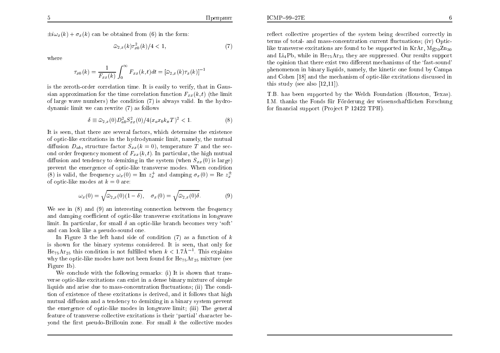$$
\bar{\omega}_{2,x}(k)\tau_{x0}^2(k)/4 < 1,\tag{7}
$$

where

$$
\tau_{x0}(k) = \frac{1}{F_{xx}(k)} \int_0^\infty F_{xx}(k, t) dt = [\bar{\omega}_{2,x}(k)\tau_x(k)]^{-1}
$$

is the zeroth-order correlation time. It is easily to verify, that in Gaussian approximation for the time correlation function  $F_{xx}(k, t)$  (the limit of large wave numbers) the condition  $(7)$  is always valid. In the hydrodynamic limit we can rewrite (7) as follows

$$
\delta \equiv \bar{\omega}_{2,x}(0) D_{ab}^2 S_{xx}^2(0) / 4(x_a x_b k_B T)^2 < 1.
$$
 (8)

It is seen, that there are several factors, which determine the existence of optic-like excitations in the hydrodynamic limit, namely, the mutual diffusion  $D_{ab}$ , structure factor  $S_{xx}(k=0)$ , temperature T and the second order frequency moment of  $F_{xx}(k,t)$ . In particular, the high mutual diffusion and tendency to demixing in the system (when  $S_{xx}(0)$ ) is large) prevent the emergence of optic-like transverse modes. When condition (8) is valid, the frequency  $\omega_x(0) = \text{Im } z_x^+$  and damping  $\sigma_x(0) = \text{Re } z_x^+$ of optic-like modes at  $k=0$  are:

$$
\omega_x(0) = \sqrt{\bar{\omega}_{2,x}(0)(1-\delta)}, \quad \sigma_x(0) = \sqrt{\bar{\omega}_{2,x}(0)\delta}.
$$
 (9)

We see in  $(8)$  and  $(9)$  an interesting connection between the frequency and damping coefficient of optic-like transverse excitations in longwave limit. In particular, for small  $\delta$  an optic-like branch becomes very 'soft' and can look like a pseudo-sound one.

In Figure 3 the left hand side of condition (7) as a function of  $k$ is shown for the binary systems considered. It is seen, that only for  $\text{He}_{75}\text{Ar}_{25}$  this condition is not fulfilled when  $k < 1.7\text{\AA}^{-1}$ . This explains why the optic-like modes have not been found for  $He_{75}Ar_{25}$  mixture (see Figure 1b).

We conclude with the following remarks: (i) It is shown that transverse optic-like excitations can exist in a dense binary mixture of simple liquids and arise due to mass-concentration fluctuations; (ii) The condition of existence of these excitations is derived, and it follows that high mutual diffusion and a tendency to demixing in a binary system prevent the emergence of optic-like modes in longwave limit; (iii) The general feature of transverse collective excitations is their 'partial' character beyond the first pseudo-Brillouin zone. For small  $k$  the collective modes reflect collective properties of the system being described correctly in terms of total- and mass-concentration current fluctuations; (iv) Opticlike transverse excitations are found to be supported in KrAr,  $Mg_{70}Zn_{30}$ and Li<sub>4</sub>Pb, while in  $\text{He}_{75}\text{Ar}_{25}$  they are suppressed. Our results support the opinion that there exist two different mechanisms of the 'fast-sound' phenomenon in binary liquids, namely, the kinetic one found by Campa and Cohen [18] and the mechanism of optic-like excitations discussed in this study (see also  $[12,11]$ ).

T.B. has been supported by the Welch Foundation (Houston, Texas). I.M. thanks the Fonds für Förderung der wissenschaftlichen Forschung for financial support (Project P 12422 TPH).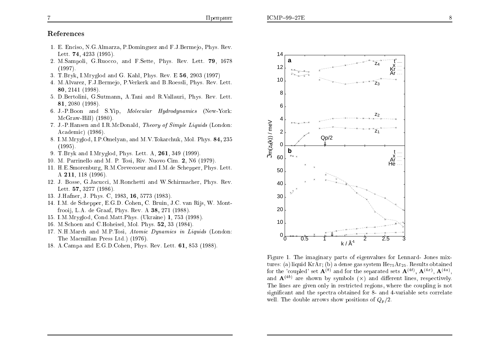# References

- 1. E. Enciso, N.G.Almarza, P.Dominguez and F.J.Bermeio, Phys. Rev. Lett. 74, 4233 (1995).
- 2. M.Sampoli, G.Ruocco, and F.Sette, Phys. Rev. Lett. 79, 1678  $(1997)$ .
- 3. T.Bryk, I.Mryglod and G. Kahl, Phys. Rev. E 56, 2903 (1997)
- 4. M. Alvarez, F. J. Bermejo, P. Verkerk and B. Roessli, Phys. Rev. Lett. 80, 2141 (1998).
- 5. D. Bertolini, G. Sutmann, A. Tani and R. Vallauri, Phys. Rev. Lett. 81, 2080 (1998).
- 6. J.-P. Boon and S. Yip, *Molecular Hydrodynamics* (New-York:  $McGraw-Hill)$  (1980).
- 7. J.-P. Hansen and I.R. McDonald, Theory of Simple Liquids (London: Academic) (1986).
- 8. I.M.Mryglod, I.P.Omelyan, and M.V.Tokarchuk, Mol. Phys. 84, 235  $(1995)$ .
- 9. T. Bryk and I. Mryglod, Phys. Lett. A, 261, 349 (1999).
- 10. M. Parrinello and M. P. Tosi, Riv. Nuovo Cim. 2, N6 (1979)
- 11. H.E.Smorenburg, R.M.Crevecoeur and I.M.de Schepper, Phys. Lett. A  $211, 118$  (1996).
- 12. J. Bosse, G. Jacucci, M. Ronchetti and W. Schirmacher, Phys. Rev. Lett. 57, 3277 (1986).
- 13. J. Hafner, J. Phys. C, 1983, 16, 5773 (1983).
- 14. I.M. de Schepper, E.G.D. Cohen, C. Bruin, J.C. van Rijs, W. Montfrooij, L.A. de Graaf, Phys. Rev. A  $38$ , 271 (1988).
- 15. I.M. Mryglod, Cond. Matt. Phys. (Ukraine) 1, 753 (1998).
- 16. M.Schoen and C.Hoheisel, Mol. Phys. 52, 33 (1984).
- 17. N.H.March and M.P.Tosi, Atomic Dynamics in Liquids (London: The Macmillan Press Ltd.) (1976).
- 18. A.Campa and E.G.D.Cohen, Phys. Rev. Lett. 61, 853 (1988).



Figure 1. The imaginary parts of eigenvalues for Lennard- Jones mixtures: (a) liquid KrAr; (b) a dense gas system  $He_{75}Ar_{25}$ . Results obtained for the 'coupled' set  $\mathbf{A}^{(8)}$  and for the separated sets  $\mathbf{A}^{(4t)}$ ,  $\mathbf{A}^{(4x)}$ ,  $\mathbf{A}^{(4a)}$ . and  $\mathbf{A}^{(4b)}$  are shown by symbols (x) and different lines, respectively. The lines are given only in restricted regions, where the coupling is not significant and the spectra obtained for 8- and 4-variable sets correlate well. The double arrows show positions of  $Q_p/2$ .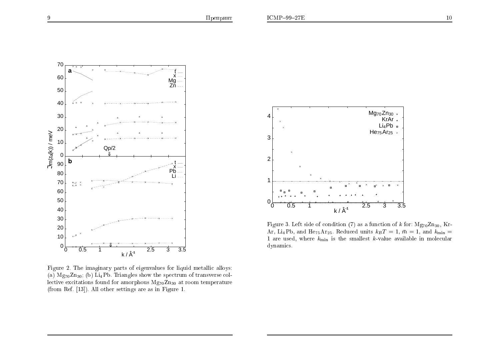

Figure 2. The imaginary parts of eigenvalues for liquid metallic alloys: (a)  $Mg_{70}Zn_{30}$ ; (b)  $Li_4Pb$ . Triangles show the spectrum of transverse collective excitations found for amorphous  $Mg_{70}Zn_{30}$  at room temperature (from Ref. [13]). All other settings are as in Figure 1.



Figure 3. Left side of condition (7) as a function of k for:  $Mg_{70}Zn_{30}$ , Kr-Ar, Li<sub>4</sub>Pb, and He<sub>75</sub>Ar<sub>25</sub>. Reduced units  $k_B T = 1$ ,  $\bar{m} = 1$ , and  $k_{\min} =$ 1 are used, where  $k_{\min}$  is the smallest k-value available in molecular dynamics.